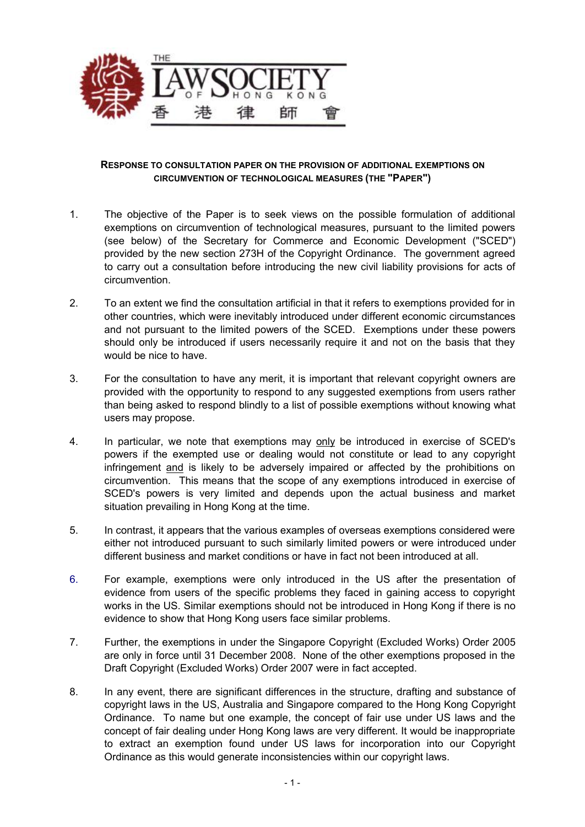

## **RESPONSE TO CONSULTATION PAPER ON THE PROVISION OF ADDITIONAL EXEMPTIONS ON CIRCUMVENTION OF TECHNOLOGICAL MEASURES (THE "PAPER")**

- 1. The objective of the Paper is to seek views on the possible formulation of additional exemptions on circumvention of technological measures, pursuant to the limited powers (see below) of the Secretary for Commerce and Economic Development ("SCED") provided by the new section 273H of the Copyright Ordinance. The government agreed to carry out a consultation before introducing the new civil liability provisions for acts of circumvention.
- 2. To an extent we find the consultation artificial in that it refers to exemptions provided for in other countries, which were inevitably introduced under different economic circumstances and not pursuant to the limited powers of the SCED. Exemptions under these powers should only be introduced if users necessarily require it and not on the basis that they would be nice to have.
- 3. For the consultation to have any merit, it is important that relevant copyright owners are provided with the opportunity to respond to any suggested exemptions from users rather than being asked to respond blindly to a list of possible exemptions without knowing what users may propose.
- 4. In particular, we note that exemptions may only be introduced in exercise of SCED's powers if the exempted use or dealing would not constitute or lead to any copyright infringement and is likely to be adversely impaired or affected by the prohibitions on circumvention. This means that the scope of any exemptions introduced in exercise of SCED's powers is very limited and depends upon the actual business and market situation prevailing in Hong Kong at the time.
- 5. In contrast, it appears that the various examples of overseas exemptions considered were either not introduced pursuant to such similarly limited powers or were introduced under different business and market conditions or have in fact not been introduced at all.
- 6. For example, exemptions were only introduced in the US after the presentation of evidence from users of the specific problems they faced in gaining access to copyright works in the US. Similar exemptions should not be introduced in Hong Kong if there is no evidence to show that Hong Kong users face similar problems.
- 7. Further, the exemptions in under the Singapore Copyright (Excluded Works) Order 2005 are only in force until 31 December 2008. None of the other exemptions proposed in the Draft Copyright (Excluded Works) Order 2007 were in fact accepted.
- 8. In any event, there are significant differences in the structure, drafting and substance of copyright laws in the US, Australia and Singapore compared to the Hong Kong Copyright Ordinance. To name but one example, the concept of fair use under US laws and the concept of fair dealing under Hong Kong laws are very different. It would be inappropriate to extract an exemption found under US laws for incorporation into our Copyright Ordinance as this would generate inconsistencies within our copyright laws.